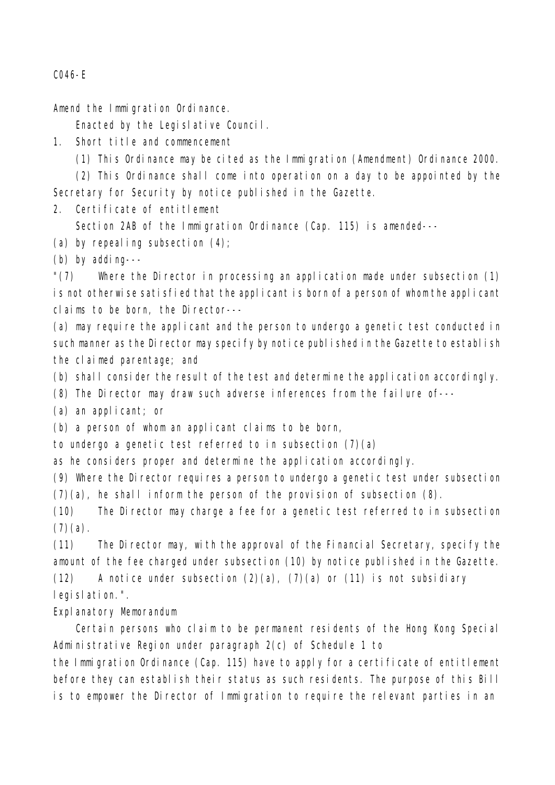C046-E

Amend the Immigration Ordinance.

Enacted by the Legislative Council.

1. Short title and commencement

(1) This Ordinance may be cited as the Immigration (Amendment) Ordinance 2000.

(2) This Ordinance shall come into operation on a day to be appointed by the Secretary for Security by notice published in the Gazette.

2. Certificate of entitlement

Section 2AB of the Immigration Ordinance (Cap. 115) is amended---

(a) by repealing subsection (4);

(b) by adding---

"(7) Where the Director in processing an application made under subsection (1) is not otherwise satisfied that the applicant is born of a person of whom the applicant claims to be born, the Director---

(a) may require the applicant and the person to undergo a genetic test conducted in such manner as the Director may specify by notice published in the Gazette to establish the claimed parentage; and

(b) shall consider the result of the test and determine the application accordingly.

(8) The Director may draw such adverse inferences from the failure of---

(a) an applicant; or

(b) a person of whom an applicant claims to be born,

to undergo a genetic test referred to in subsection  $(7)(a)$ 

as he considers proper and determine the application accordingly.

(9) Where the Director requires a person to undergo a genetic test under subsection (7)(a), he shall inform the person of the provision of subsection (8).

(10) The Director may charge a fee for a genetic test referred to in subsection  $(7)(a)$ .

(11) The Director may, with the approval of the Financial Secretary, specify the amount of the fee charged under subsection (10) by notice published in the Gazette.

(12) A notice under subsection  $(2)(a)$ ,  $(7)(a)$  or  $(11)$  is not subsidiary legislation.".

Explanatory Memorandum

Certain persons who claim to be permanent residents of the Hong Kong Special Administrative Region under paragraph 2(c) of Schedule 1 to

the Immigration Ordinance (Cap. 115) have to apply for a certificate of entitlement before they can establish their status as such residents. The purpose of this Bill is to empower the Director of Immigration to require the relevant parties in an